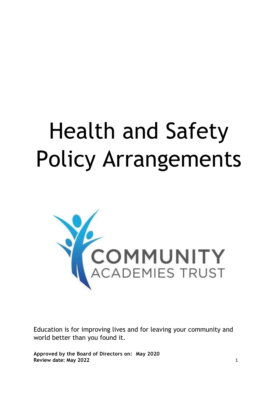# Health and Safety Policy Arrangements



Education is for improving lives and for leaving your community and world better than you found it.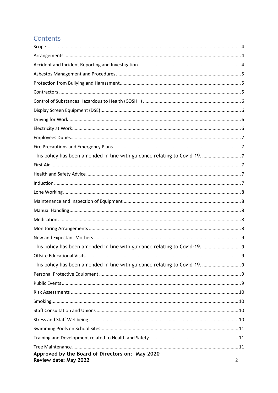# Contents

| Approved by the Board of Directors on: May 2020<br>Review date: May 2022 | $\overline{2}$ |
|--------------------------------------------------------------------------|----------------|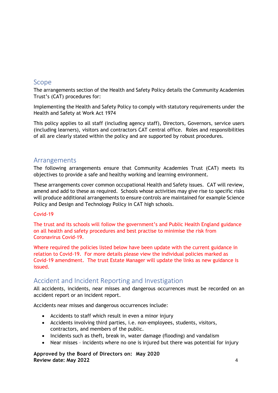# <span id="page-3-0"></span>Scope

The arrangements section of the Health and Safety Policy details the Community Academies Trust's (CAT) procedures for:

Implementing the Health and Safety Policy to comply with statutory requirements under the Health and Safety at Work Act 1974

This policy applies to all staff (including agency staff), Directors, Governors, service users (including learners), visitors and contractors CAT central office. Roles and responsibilities of all are clearly stated within the policy and are supported by robust procedures.

# <span id="page-3-1"></span>Arrangements

The following arrangements ensure that Community Academies Trust (CAT) meets its objectives to provide a safe and healthy working and learning environment.

These arrangements cover common occupational Health and Safety issues. CAT will review, amend and add to these as required. Schools whose activities may give rise to specific risks will produce additional arrangements to ensure controls are maintained for example Science Policy and Design and Technology Policy in CAT high schools.

## Covid-19

The trust and its schools will follow the government's and Public Health England guidance on all health and safety procedures and best practise to minimise the risk from Coronavirus Covid-19.

Where required the policies listed below have been update with the current guidance in relation to Covid-19. For more details please view the individual policies marked as Covid-19 amendment. The trust Estate Manager will update the links as new guidance is issued.

# <span id="page-3-2"></span>Accident and Incident Reporting and Investigation

All accidents, incidents, near misses and dangerous occurrences must be recorded on an accident report or an incident report.

Accidents near misses and dangerous occurrences include:

- Accidents to staff which result in even a minor injury
- Accidents involving third parties, i.e. non-employees, students, visitors, contractors, and members of the public.
- Incidents such as theft, break in, water damage (flooding) and vandalism
- Near misses incidents where no one is injured but there was potential for injury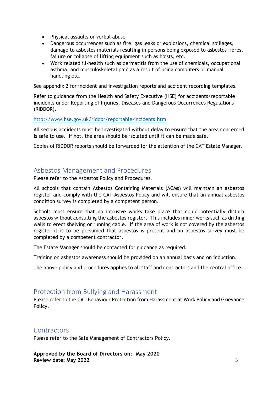- Physical assaults or verbal abuse
- Dangerous occurrences such as fire, gas leaks or explosions, chemical spillages, damage to asbestos materials resulting in persons being exposed to asbestos fibres, failure or collapse of lifting equipment such as hoists, etc.
- Work related ill-health such as dermatitis from the use of chemicals, occupational asthma, and musculoskeletal pain as a result of using computers or manual handling etc.

See appendix 2 for incident and investigation reports and accident recording templates.

Refer to guidance from the Health and Safety Executive (HSE) for accidents/reportable incidents under Reporting of Injuries, Diseases and Dangerous Occurrences Regulations (RIDDOR).

#### <http://www.hse.gov.uk/riddor/reportable-incidents.htm>

All serious accidents must be investigated without delay to ensure that the area concerned is safe to use. If not, the area should be isolated until it can be made safe.

Copies of RIDDOR reports should be forwarded for the attention of the CAT Estate Manager.

# <span id="page-4-0"></span>Asbestos Management and Procedures

Please refer to the Asbestos Policy and Procedures.

All schools that contain Asbestos Containing Materials (ACMs) will maintain an asbestos register and comply with the CAT Asbestos Policy and will ensure that an annual asbestos condition survey is completed by a competent person.

Schools must ensure that no intrusive works take place that could potentially disturb asbestos without consulting the asbestos register. This includes minor works such as drilling walls to erect shelving or running cable. If the area of work is not covered by the asbestos register it is to be presumed that asbestos is present and an asbestos survey must be completed by a competent contractor.

The Estate Manager should be contacted for guidance as required.

Training on asbestos awareness should be provided on an annual basis and on induction.

The above policy and procedures applies to all staff and contractors and the central office.

# <span id="page-4-1"></span>Protection from Bullying and Harassment

Please refer to the CAT Behaviour Protection from Harassment at Work Policy and Grievance Policy.

## <span id="page-4-2"></span>**Contractors**

Please refer to the Safe Management of Contractors Policy.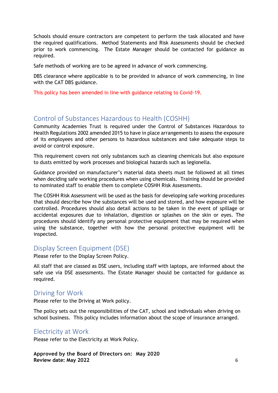Schools should ensure contractors are competent to perform the task allocated and have the required qualifications. Method Statements and Risk Assessments should be checked prior to work commencing. The Estate Manager should be contacted for guidance as required.

Safe methods of working are to be agreed in advance of work commencing.

DBS clearance where applicable is to be provided in advance of work commencing, in line with the CAT DBS guidance.

This policy has been amended in line with guidance relating to Covid-19.

# <span id="page-5-0"></span>Control of Substances Hazardous to Health (COSHH)

Community Academies Trust is required under the Control of Substances Hazardous to Health Regulations 2002 amended 2015 to have in place arrangements to assess the exposure of its employees and other persons to hazardous substances and take adequate steps to avoid or control exposure.

This requirement covers not only substances such as cleaning chemicals but also exposure to dusts emitted by work processes and biological hazards such as legionella.

Guidance provided on manufacturer's material data sheets must be followed at all times when deciding safe working procedures when using chemicals. Training should be provided to nominated staff to enable them to complete COSHH Risk Assessments.

The COSHH Risk Assessment will be used as the basis for developing safe working procedures that should describe how the substances will be used and stored, and how exposure will be controlled. Procedures should also detail actions to be taken in the event of spillage or accidental exposures due to inhalation, digestion or splashes on the skin or eyes. The procedures should identify any personal protective equipment that may be required when using the substance, together with how the personal protective equipment will be inspected.

# <span id="page-5-1"></span>Display Screen Equipment (DSE)

Please refer to the Display Screen Policy.

All staff that are classed as DSE users, including staff with laptops, are informed about the safe use via DSE assessments. The Estate Manager should be contacted for guidance as required.

# <span id="page-5-2"></span>Driving for Work

Please refer to the Driving at Work policy.

The policy sets out the responsibilities of the CAT, school and individuals when driving on school business. This policy includes information about the scope of insurance arranged.

# <span id="page-5-3"></span>Electricity at Work

Please refer to the Electricity at Work Policy.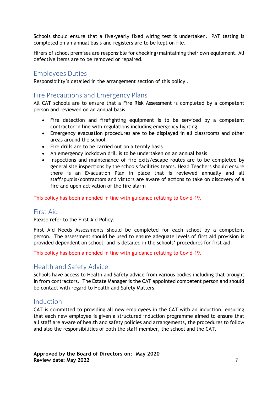Schools should ensure that a five-yearly fixed wiring test is undertaken. PAT testing is completed on an annual basis and registers are to be kept on file.

Hirers of school premises are responsible for checking/maintaining their own equipment. All defective items are to be removed or repaired.

# <span id="page-6-0"></span>Employees Duties

Responsibility's detailed in the arrangement section of this policy .

# <span id="page-6-1"></span>Fire Precautions and Emergency Plans

All CAT schools are to ensure that a Fire Risk Assessment is completed by a competent person and reviewed on an annual basis.

- Fire detection and firefighting equipment is to be serviced by a competent contractor in line with regulations including emergency lighting.
- Emergency evacuation procedures are to be displayed in all classrooms and other areas around the school
- Fire drills are to be carried out on a termly basis
- An emergency lockdown drill is to be undertaken on an annual basis
- Inspections and maintenance of fire exits/escape routes are to be completed by general site inspections by the schools facilities teams. Head Teachers should ensure there is an Evacuation Plan in place that is reviewed annually and all staff/pupils/contractors and visitors are aware of actions to take on discovery of a fire and upon activation of the fire alarm

<span id="page-6-3"></span><span id="page-6-2"></span>This policy has been amended in line with guidance relating to Covid-19.

# First Aid

Please refer to the First Aid Policy.

First Aid Needs Assessments should be completed for each school by a competent person. The assessment should be used to ensure adequate levels of first aid provision is provided dependent on school, and is detailed in the schools' procedures for first aid.

This policy has been amended in line with guidance relating to Covid-19.

# <span id="page-6-4"></span>Health and Safety Advice

Schools have access to Health and Safety advice from various bodies including that brought in from contractors. The Estate Manager is the CAT appointed competent person and should be contact with regard to Health and Safety Matters.

# <span id="page-6-5"></span>Induction

CAT is committed to providing all new employees in the CAT with an induction, ensuring that each new employee is given a structured induction programme aimed to ensure that all staff are aware of health and safety policies and arrangements, the procedures to follow and also the responsibilities of both the staff member, the school and the CAT.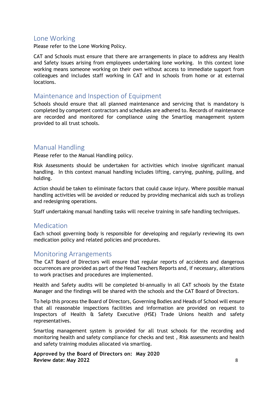## <span id="page-7-0"></span>Lone Working

Please refer to the Lone Working Policy.

CAT and Schools must ensure that there are arrangements in place to address any Health and Safety issues arising from employees undertaking lone working. In this context lone working means someone working on their own without access to immediate support from colleagues and includes staff working in CAT and in schools from home or at external locations.

## <span id="page-7-1"></span>Maintenance and Inspection of Equipment

Schools should ensure that all planned maintenance and servicing that is mandatory is completed by competent contractors and schedules are adhered to. Records of maintenance are recorded and monitored for compliance using the Smartlog management system provided to all trust schools.

# <span id="page-7-2"></span>Manual Handling

Please refer to the Manual Handling policy.

Risk Assessments should be undertaken for activities which involve significant manual handling. In this context manual handling includes lifting, carrying, pushing, pulling, and holding.

Action should be taken to eliminate factors that could cause injury. Where possible manual handling activities will be avoided or reduced by providing mechanical aids such as trolleys and redesigning operations.

Staff undertaking manual handling tasks will receive training in safe handling techniques.

## <span id="page-7-3"></span>Medication

Each school governing body is responsible for developing and regularly reviewing its own medication policy and related policies and procedures.

# <span id="page-7-4"></span>Monitoring Arrangements

The CAT Board of Directors will ensure that regular reports of accidents and dangerous occurrences are provided as part of the Head Teachers Reports and, if necessary, alterations to work practises and procedures are implemented.

Health and Safety audits will be completed bi-annually in all CAT schools by the Estate Manager and the findings will be shared with the schools and the CAT Board of Directors.

To help this process the Board of Directors, Governing Bodies and Heads of School will ensure that all reasonable inspections facilities and information are provided on request to Inspectors of Health & Safety Executive (HSE) Trade Unions health and safety representatives.

Smartlog management system is provided for all trust schools for the recording and monitoring health and safety compliance for checks and test , Risk assessments and health and safety training modules allocated via smartlog.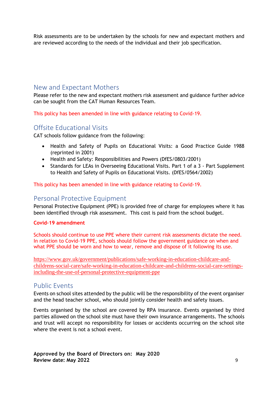Risk assessments are to be undertaken by the schools for new and expectant mothers and are reviewed according to the needs of the individual and their job specification.

# <span id="page-8-0"></span>New and Expectant Mothers

Please refer to the new and expectant mothers risk assessment and guidance further advice can be sought from the CAT Human Resources Team.

<span id="page-8-1"></span>This policy has been amended in line with guidance relating to Covid-19.

# <span id="page-8-2"></span>Offsite Educational Visits

CAT schools follow guidance from the following:

- Health and Safety of Pupils on Educational Visits: a Good Practice Guide 1988 (reprinted in 2001)
- Health and Safety: Responsibilities and Powers (DfES/0803/2001)
- Standards for LEAs in Overseeing Educational Visits. Part 1 of a 3 Part Supplement to Health and Safety of Pupils on Educational Visits. (DfES/0564/2002)

<span id="page-8-4"></span><span id="page-8-3"></span>This policy has been amended in line with guidance relating to Covid-19.

## Personal Protective Equipment

Personal Protective Equipment (PPE) is provided free of charge for employees where it has been identified through risk assessment. This cost is paid from the school budget.

### **Covid-19 amendment**

Schools should continue to use PPE where their current risk assessments dictate the need. In relation to Covid-19 PPE, schools should follow the government guidance on when and what PPE should be worn and how to wear, remove and dispose of it following its use.

[https://www.gov.uk/government/publications/safe-working-in-education-childcare-and](https://www.gov.uk/government/publications/safe-working-in-education-childcare-and-childrens-social-care/safe-working-in-education-childcare-and-childrens-social-care-settings-including-the-use-of-personal-protective-equipment-ppe)[childrens-social-care/safe-working-in-education-childcare-and-childrens-social-care-settings](https://www.gov.uk/government/publications/safe-working-in-education-childcare-and-childrens-social-care/safe-working-in-education-childcare-and-childrens-social-care-settings-including-the-use-of-personal-protective-equipment-ppe)[including-the-use-of-personal-protective-equipment-ppe](https://www.gov.uk/government/publications/safe-working-in-education-childcare-and-childrens-social-care/safe-working-in-education-childcare-and-childrens-social-care-settings-including-the-use-of-personal-protective-equipment-ppe)

## <span id="page-8-5"></span>Public Events

Events on school sites attended by the public will be the responsibility of the event organiser and the head teacher school, who should jointly consider health and safety issues.

Events organised by the school are covered by RPA insurance. Events organised by third parties allowed on the school site must have their own insurance arrangements. The schools and trust will accept no responsibility for losses or accidents occurring on the school site where the event is not a school event.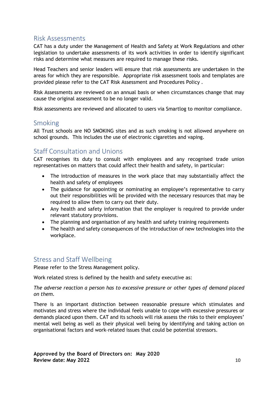# <span id="page-9-0"></span>Risk Assessments

CAT has a duty under the Management of Health and Safety at Work Regulations and other legislation to undertake assessments of its work activities in order to identify significant risks and determine what measures are required to manage these risks.

Head Teachers and senior leaders will ensure that risk assessments are undertaken in the areas for which they are responsible. Appropriate risk assessment tools and templates are provided please refer to the CAT Risk Assessment and Procedures Policy .

Risk Assessments are reviewed on an annual basis or when circumstances change that may cause the original assessment to be no longer valid.

Risk assessments are reviewed and allocated to users via Smartlog to monitor compliance.

# <span id="page-9-1"></span>Smoking

All Trust schools are NO SMOKING sites and as such smoking is not allowed anywhere on school grounds. This includes the use of electronic cigarettes and vaping.

# <span id="page-9-2"></span>Staff Consultation and Unions

CAT recognises its duty to consult with employees and any recognised trade union representatives on matters that could affect their health and safety, in particular:

- The introduction of measures in the work place that may substantially affect the health and safety of employees
- The guidance for appointing or nominating an employee's representative to carry out their responsibilities will be provided with the necessary resources that may be required to allow them to carry out their duty.
- Any health and safety information that the employer is required to provide under relevant statutory provisions.
- The planning and organisation of any health and safety training requirements
- The health and safety consequences of the introduction of new technologies into the workplace.

# <span id="page-9-3"></span>Stress and Staff Wellbeing

Please refer to the Stress Management policy.

Work related stress is defined by the health and safety executive as:

### *The adverse reaction a person has to excessive pressure or other types of demand placed on them.*

There is an important distinction between reasonable pressure which stimulates and motivates and stress where the individual feels unable to cope with excessive pressures or demands placed upon them. CAT and its schools will risk assess the risks to their employees' mental well being as well as their physical well being by identifying and taking action on organisational factors and work-related issues that could be potential stressors.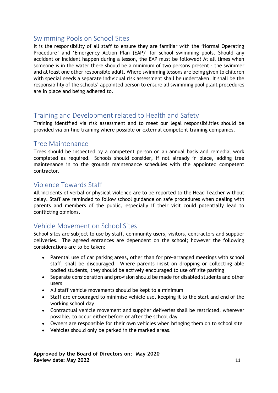# <span id="page-10-0"></span>Swimming Pools on School Sites

It is the responsibility of all staff to ensure they are familiar with the 'Normal Operating Procedure' and 'Emergency Action Plan (EAP)' for school swimming pools. Should any accident or incident happen during a lesson, the EAP must be followed? At all times when someone is in the water there should be a minimum of two persons present - the swimmer and at least one other responsible adult. Where swimming lessons are being given to children with special needs a separate individual risk assessment shall be undertaken. It shall be the responsibility of the schools' appointed person to ensure all swimming pool plant procedures are in place and being adhered to.

# <span id="page-10-1"></span>Training and Development related to Health and Safety

Training identified via risk assessment and to meet our legal responsibilities should be provided via on-line training where possible or external competent training companies.

# <span id="page-10-2"></span>Tree Maintenance

Trees should be inspected by a competent person on an annual basis and remedial work completed as required. Schools should consider, if not already in place, adding tree maintenance in to the grounds maintenance schedules with the appointed competent contractor.

# <span id="page-10-3"></span>Violence Towards Staff

All incidents of verbal or physical violence are to be reported to the Head Teacher without delay. Staff are reminded to follow school guidance on safe procedures when dealing with parents and members of the public, especially if their visit could potentially lead to conflicting opinions.

# <span id="page-10-4"></span>Vehicle Movement on School Sites

School sites are subject to use by staff, community users, visitors, contractors and supplier deliveries. The agreed entrances are dependent on the school; however the following considerations are to be taken:

- Parental use of car parking areas, other than for pre-arranged meetings with school staff, shall be discouraged. Where parents insist on dropping or collecting able bodied students, they should be actively encouraged to use off site parking
- Separate consideration and provision should be made for disabled students and other users
- All staff vehicle movements should be kept to a minimum
- Staff are encouraged to minimise vehicle use, keeping it to the start and end of the working school day
- Contractual vehicle movement and supplier deliveries shall be restricted, wherever possible, to occur either before or after the school day
- Owners are responsible for their own vehicles when bringing them on to school site
- Vehicles should only be parked in the marked areas.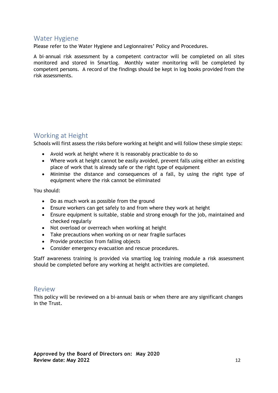## <span id="page-11-0"></span>Water Hygiene

Please refer to the Water Hygiene and Legionnaires' Policy and Procedures.

A bi–annual risk assessment by a competent contractor will be completed on all sites monitored and stored in Smartlog. Monthly water monitoring will be completed by competent persons. A record of the findings should be kept in log books provided from the risk assessments.

# <span id="page-11-1"></span>Working at Height

Schools will first assess the risks before working at height and will follow these simple steps:

- Avoid work at height where it is reasonably practicable to do so
- Where work at height cannot be easily avoided, prevent falls using either an existing place of work that is already safe or the right type of equipment
- Minimise the distance and consequences of a fall, by using the right type of equipment where the risk cannot be eliminated

You should:

- Do as much work as possible from the ground
- Ensure workers can get safely to and from where they work at height
- Ensure equipment is suitable, stable and strong enough for the job, maintained and checked regularly
- Not overload or overreach when working at height
- Take precautions when working on or near fragile surfaces
- Provide protection from falling objects
- Consider emergency evacuation and rescue procedures.

Staff awareness training is provided via smartlog log training module a risk assessment should be completed before any working at height activities are completed.

## <span id="page-11-2"></span>Review

This policy will be reviewed on a bi-annual basis or when there are any significant changes in the Trust.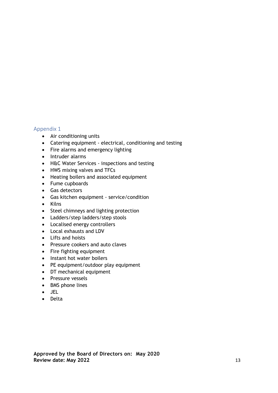#### <span id="page-12-0"></span>Appendix 1

- Air conditioning units
- Catering equipment electrical, conditioning and testing
- Fire alarms and emergency lighting
- Intruder alarms
- H&C Water Services inspections and testing
- HWS mixing valves and TFCs
- Heating boilers and associated equipment
- Fume cupboards
- Gas detectors
- Gas kitchen equipment service/condition
- Kilns
- Steel chimneys and lighting protection
- Ladders/step ladders/step stools
- Localised energy controllers
- Local exhausts and LDV
- Lifts and hoists
- Pressure cookers and auto claves
- Fire fighting equipment
- Instant hot water boilers
- PE equipment/outdoor play equipment
- DT mechanical equipment
- Pressure vessels
- BMS phone lines
- JEL
- Delta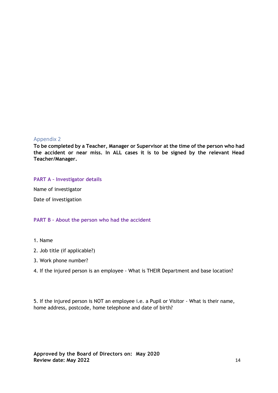#### <span id="page-13-0"></span>Appendix 2

**To be completed by a Teacher, Manager or Supervisor at the time of the person who had the accident or near miss. In ALL cases it is to be signed by the relevant Head Teacher/Manager.** 

#### **PART A – Investigator details**

Name of investigator

Date of investigation

#### **PART B – About the person who had the accident**

- 1. Name
- 2. Job title (if applicable?)
- 3. Work phone number?
- 4. If the injured person is an employee What is THEIR Department and base location?

5. If the injured person is NOT an employee i.e. a Pupil or Visitor - What is their name, home address, postcode, home telephone and date of birth?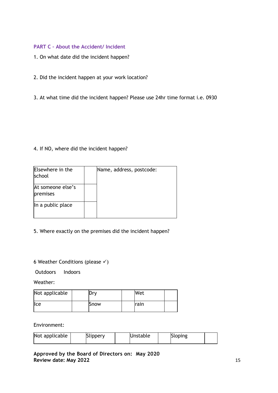## **PART C – About the Accident/ Incident**

- 1. On what date did the incident happen?
- 2. Did the incident happen at your work location?
- 3. At what time did the incident happen? Please use 24hr time format i.e. 0930

### 4. If NO, where did the incident happen?

| Elsewhere in the<br>school    | Name, address, postcode: |
|-------------------------------|--------------------------|
| At someone else's<br>premises |                          |
| In a public place             |                          |

## 5. Where exactly on the premises did the incident happen?

## 6 Weather Conditions (please  $\checkmark$ )

Outdoors Indoors

Weather:

| Not applicable | Drv  | Wet   |  |
|----------------|------|-------|--|
| lce            | Snow | Irain |  |

Environment:

| Not applicable | <b>Slippery</b> | Unstable | <b>Sloping</b> |  |
|----------------|-----------------|----------|----------------|--|
|----------------|-----------------|----------|----------------|--|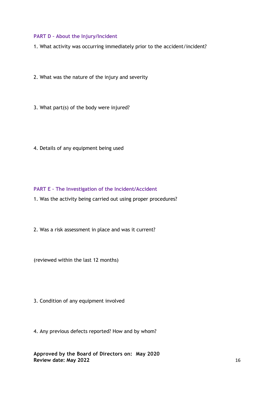#### **PART D – About the Injury/Incident**

1. What activity was occurring immediately prior to the accident/incident?

- 2. What was the nature of the injury and severity
- 3. What part(s) of the body were injured?
- 4. Details of any equipment being used

### **PART E – The Investigation of the Incident/Accident**

- 1. Was the activity being carried out using proper procedures?
- 2. Was a risk assessment in place and was it current?

(reviewed within the last 12 months)

3. Condition of any equipment involved

4. Any previous defects reported? How and by whom?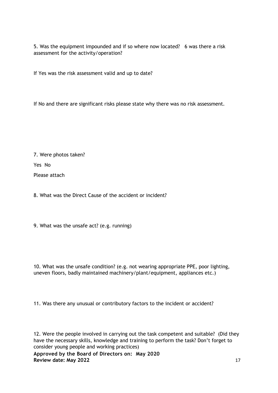5. Was the equipment impounded and if so where now located? 6 was there a risk assessment for the activity/operation?

If Yes was the risk assessment valid and up to date?

If No and there are significant risks please state why there was no risk assessment.

7. Were photos taken?

Yes No

Please attach

8. What was the Direct Cause of the accident or incident?

9. What was the unsafe act? (e.g. running)

10. What was the unsafe condition? (e.g. not wearing appropriate PPE, poor lighting, uneven floors, badly maintained machinery/plant/equipment, appliances etc.)

11. Was there any unusual or contributory factors to the incident or accident?

12. Were the people involved in carrying out the task competent and suitable? (Did they have the necessary skills, knowledge and training to perform the task? Don't forget to consider young people and working practices)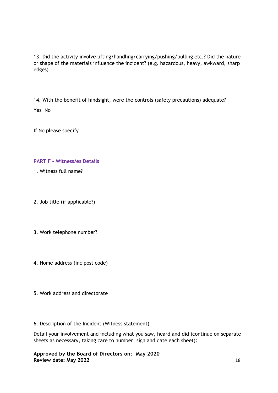13. Did the activity involve lifting/handling/carrying/pushing/pulling etc.? Did the nature or shape of the materials influence the incident? (e.g. hazardous, heavy, awkward, sharp edges)

14. With the benefit of hindsight, were the controls (safety precautions) adequate? Yes No

If No please specify

### **PART F – Witness/es Details**

- 1. Witness full name?
- 2. Job title (if applicable?)
- 3. Work telephone number?
- 4. Home address (inc post code)
- 5. Work address and directorate

#### 6. Description of the Incident (Witness statement)

Detail your involvement and including what you saw, heard and did (continue on separate sheets as necessary, taking care to number, sign and date each sheet):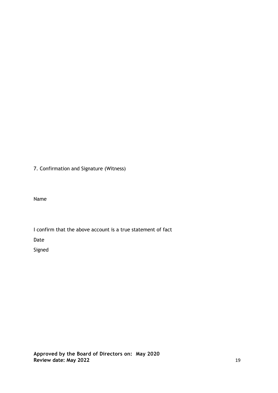7. Confirmation and Signature (Witness)

Name

I confirm that the above account is a true statement of fact

Date

Signed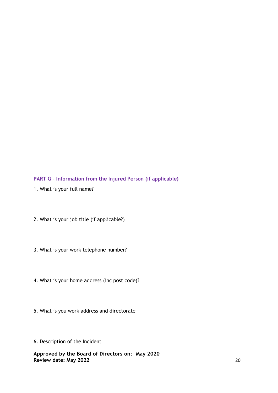**PART G – Information from the Injured Person (if applicable)**

- 1. What is your full name?
- 2. What is your job title (if applicable?)
- 3. What is your work telephone number?
- 4. What is your home address (inc post code)?
- 5. What is you work address and directorate
- 6. Description of the Incident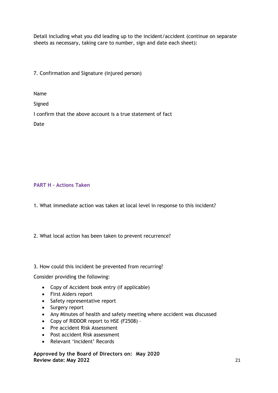Detail including what you did leading up to the incident/accident (continue on separate sheets as necessary, taking care to number, sign and date each sheet):

7. Confirmation and Signature (injured person)

Name

Signed

I confirm that the above account is a true statement of fact

Date

#### **PART H – Actions Taken**

1. What immediate action was taken at local level in response to this incident?

2. What local action has been taken to prevent recurrence?

#### 3. How could this incident be prevented from recurring?

Consider providing the following:

- Copy of Accident book entry (if applicable)
- First Aiders report
- Safety representative report
- Surgery report
- Any Minutes of health and safety meeting where accident was discussed
- Copy of RIDDOR report to HSE (F2508) –
- Pre accident Risk Assessment
- Post accident Risk assessment
- Relevant 'Incident' Records